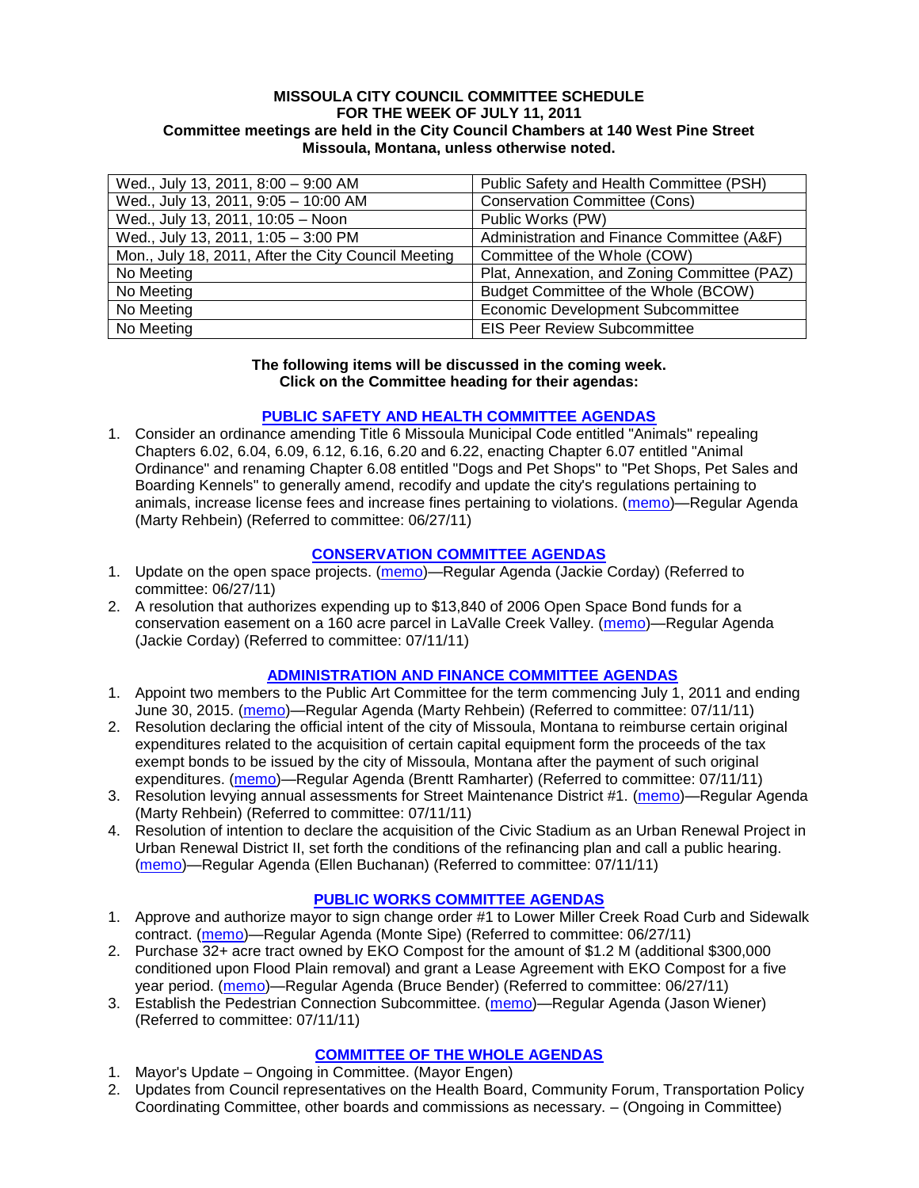### **MISSOULA CITY COUNCIL COMMITTEE SCHEDULE FOR THE WEEK OF JULY 11, 2011 Committee meetings are held in the City Council Chambers at 140 West Pine Street Missoula, Montana, unless otherwise noted.**

| Wed., July 13, 2011, 8:00 - 9:00 AM                 | Public Safety and Health Committee (PSH)     |
|-----------------------------------------------------|----------------------------------------------|
| Wed., July 13, 2011, 9:05 - 10:00 AM                | <b>Conservation Committee (Cons)</b>         |
| Wed., July 13, 2011, 10:05 - Noon                   | Public Works (PW)                            |
| Wed., July 13, 2011, 1:05 - 3:00 PM                 | Administration and Finance Committee (A&F)   |
| Mon., July 18, 2011, After the City Council Meeting | Committee of the Whole (COW)                 |
| No Meeting                                          | Plat, Annexation, and Zoning Committee (PAZ) |
| No Meeting                                          | Budget Committee of the Whole (BCOW)         |
| No Meeting                                          | <b>Economic Development Subcommittee</b>     |
| No Meeting                                          | <b>EIS Peer Review Subcommittee</b>          |

#### **The following items will be discussed in the coming week. Click on the Committee heading for their agendas:**

# **[PUBLIC SAFETY AND HEALTH COMMITTEE AGENDAS](http://www.ci.missoula.mt.us/DocumentCenterii.aspx?FID=836)**

1. Consider an ordinance amending Title 6 Missoula Municipal Code entitled "Animals" repealing Chapters 6.02, 6.04, 6.09, 6.12, 6.16, 6.20 and 6.22, enacting Chapter 6.07 entitled "Animal Ordinance" and renaming Chapter 6.08 entitled "Dogs and Pet Shops" to "Pet Shops, Pet Sales and Boarding Kennels" to generally amend, recodify and update the city's regulations pertaining to animals, increase license fees and increase fines pertaining to violations. [\(memo\)](http://www.ci.missoula.mt.us/DocumentView.aspx?DID=6698)—Regular Agenda (Marty Rehbein) (Referred to committee: 06/27/11)

# **[CONSERVATION COMMITTEE AGENDAS](http://www.ci.missoula.mt.us/DocumentCenterii.aspx?FID=832)**

- 1. Update on the open space projects. [\(memo\)](http://www.ci.missoula.mt.us/DocumentView.aspx?DID=6684)—Regular Agenda (Jackie Corday) (Referred to committee: 06/27/11)
- 2. A resolution that authorizes expending up to \$13,840 of 2006 Open Space Bond funds for a conservation easement on a 160 acre parcel in LaValle Creek Valley. [\(memo\)](http://www.ci.missoula.mt.us/DocumentView.aspx?DID=6797)—Regular Agenda (Jackie Corday) (Referred to committee: 07/11/11)

# **[ADMINISTRATION AND FINANCE COMMITTEE AGENDAS](http://www.ci.missoula.mt.us/DocumentCenterii.aspx?FID=830)**

- 1. Appoint two members to the Public Art Committee for the term commencing July 1, 2011 and ending June 30, 2015. [\(memo\)](http://www.ci.missoula.mt.us/DocumentView.aspx?DID=6752)—Regular Agenda (Marty Rehbein) (Referred to committee: 07/11/11)
- 2. Resolution declaring the official intent of the city of Missoula, Montana to reimburse certain original expenditures related to the acquisition of certain capital equipment form the proceeds of the tax exempt bonds to be issued by the city of Missoula, Montana after the payment of such original expenditures. [\(memo\)](http://www.ci.missoula.mt.us/DocumentView.aspx?DID=6786)—Regular Agenda (Brentt Ramharter) (Referred to committee: 07/11/11)
- 3. Resolution levying annual assessments for Street Maintenance District #1. [\(memo\)](http://www.ci.missoula.mt.us/DocumentView.aspx?DID=6789)—Regular Agenda (Marty Rehbein) (Referred to committee: 07/11/11)
- 4. Resolution of intention to declare the acquisition of the Civic Stadium as an Urban Renewal Project in Urban Renewal District II, set forth the conditions of the refinancing plan and call a public hearing. [\(memo\)](http://www.ci.missoula.mt.us/DocumentView.aspx?DID=6794)—Regular Agenda (Ellen Buchanan) (Referred to committee: 07/11/11)

# **[PUBLIC WORKS COMMITTEE AGENDAS](http://www.ci.missoula.mt.us/DocumentCenterii.aspx?FID=833)**

- 1. Approve and authorize mayor to sign change order #1 to Lower Miller Creek Road Curb and Sidewalk contract. [\(memo\)](http://www.ci.missoula.mt.us/DocumentView.aspx?DID=6703)—Regular Agenda (Monte Sipe) (Referred to committee: 06/27/11)
- 2. Purchase 32+ acre tract owned by EKO Compost for the amount of \$1.2 M (additional \$300,000 conditioned upon Flood Plain removal) and grant a Lease Agreement with EKO Compost for a five year period. [\(memo\)](http://www.ci.missoula.mt.us/DocumentView.aspx?DID=6726)—Regular Agenda (Bruce Bender) (Referred to committee: 06/27/11)
- 3. Establish the Pedestrian Connection Subcommittee. [\(memo\)](http://www.ci.missoula.mt.us/DocumentView.aspx?DID=6778)—Regular Agenda (Jason Wiener) (Referred to committee: 07/11/11)

# **[COMMITTEE OF THE WHOLE AGENDAS](http://www.ci.missoula.mt.us/DocumentCenterii.aspx?FID=834)**

- 1. Mayor's Update Ongoing in Committee. (Mayor Engen)
- 2. Updates from Council representatives on the Health Board, Community Forum, Transportation Policy Coordinating Committee, other boards and commissions as necessary. – (Ongoing in Committee)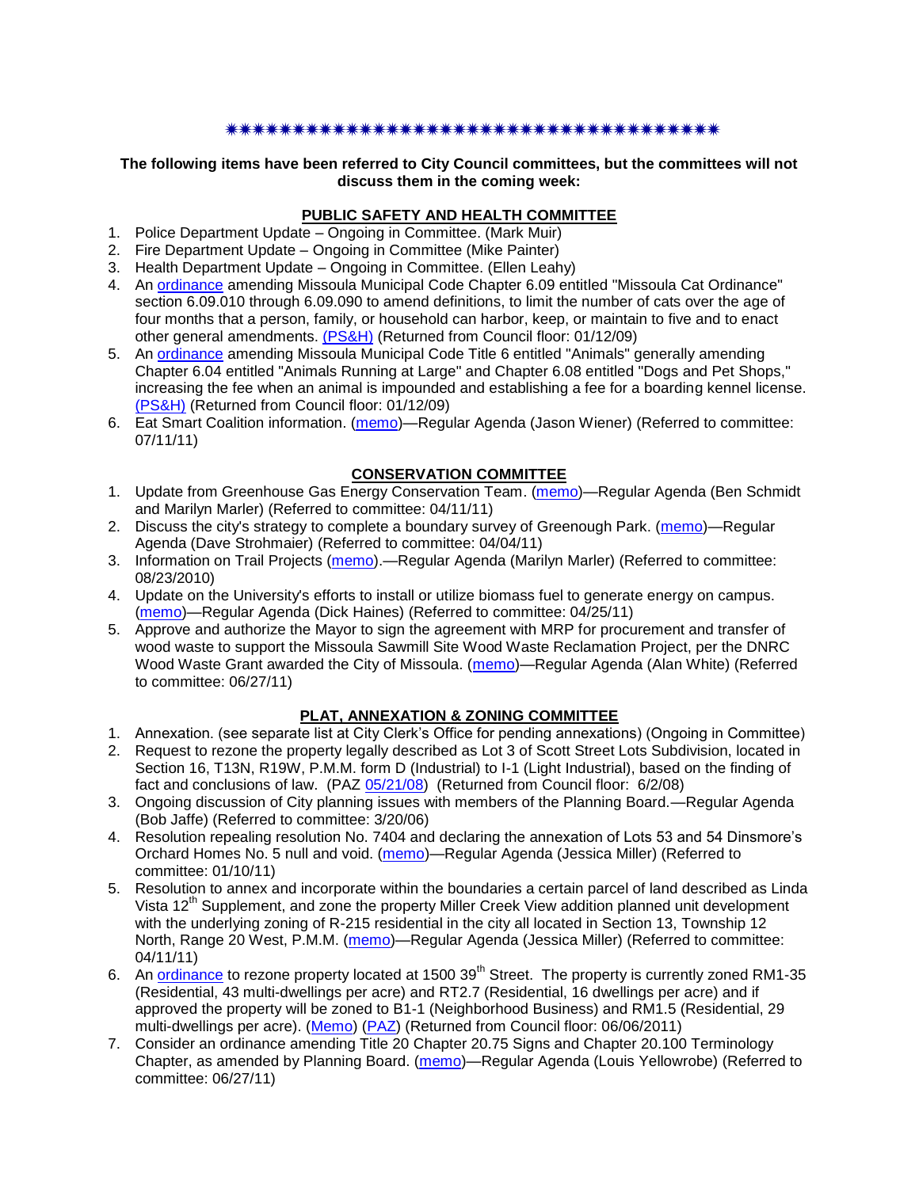### \*\*\*\*\*\*\*\*\*\*\*\*\*\*\*\*\*\*\*\*\*\*\*\*\*\*\*\*\*\*\*\*\*\*\*\*\*

### **The following items have been referred to City Council committees, but the committees will not discuss them in the coming week:**

# **PUBLIC SAFETY AND HEALTH COMMITTEE**

- 1. Police Department Update Ongoing in Committee. (Mark Muir)
- 2. Fire Department Update Ongoing in Committee (Mike Painter)
- 3. Health Department Update Ongoing in Committee. (Ellen Leahy)
- 4. An [ordinance](ftp://ftp.ci.missoula.mt.us/Packets/Council/2008/2008-12-15/2008CatOrdinanceAmendment%5B1%5D.pdf) amending Missoula Municipal Code Chapter 6.09 entitled "Missoula Cat Ordinance" section 6.09.010 through 6.09.090 to amend definitions, to limit the number of cats over the age of four months that a person, family, or household can harbor, keep, or maintain to five and to enact other general amendments. [\(PS&H\)](ftp://ftp.ci.missoula.mt.us/Packets/Council/2008/2008-12-15/081210psh.pdf) (Returned from Council floor: 01/12/09)
- 5. An [ordinance](ftp://ftp.ci.missoula.mt.us/Packets/Council/2008/2008-12-15/DogOrdinance--PSHrevisions.pdf) amending Missoula Municipal Code Title 6 entitled "Animals" generally amending Chapter 6.04 entitled "Animals Running at Large" and Chapter 6.08 entitled "Dogs and Pet Shops," increasing the fee when an animal is impounded and establishing a fee for a boarding kennel license. [\(PS&H\)](ftp://ftp.ci.missoula.mt.us/Packets/Council/2008/2008-12-15/081210psh.pdf) (Returned from Council floor: 01/12/09)
- 6. Eat Smart Coalition information. [\(memo\)](http://www.ci.missoula.mt.us/DocumentView.aspx?DID=6776)—Regular Agenda (Jason Wiener) (Referred to committee: 07/11/11)

# **CONSERVATION COMMITTEE**

- 1. Update from Greenhouse Gas Energy Conservation Team. [\(memo\)](http://www.ci.missoula.mt.us/DocumentView.aspx?DID=5945)—Regular Agenda (Ben Schmidt and Marilyn Marler) (Referred to committee: 04/11/11)
- 2. Discuss the city's strategy to complete a boundary survey of Greenough Park. [\(memo\)](http://www.ci.missoula.mt.us/DocumentView.aspx?DID=5875)—Regular Agenda (Dave Strohmaier) (Referred to committee: 04/04/11)
- 3. Information on Trail Projects [\(memo\)](http://www.ci.missoula.mt.us/DocumentView.aspx?DID=4477).—Regular Agenda (Marilyn Marler) (Referred to committee: 08/23/2010)
- 4. Update on the University's efforts to install or utilize biomass fuel to generate energy on campus. [\(memo\)](http://www.ci.missoula.mt.us/DocumentView.aspx?DID=6268)—Regular Agenda (Dick Haines) (Referred to committee: 04/25/11)
- 5. Approve and authorize the Mayor to sign the agreement with MRP for procurement and transfer of wood waste to support the Missoula Sawmill Site Wood Waste Reclamation Project, per the DNRC Wood Waste Grant awarded the City of Missoula. [\(memo\)](http://www.ci.missoula.mt.us/DocumentView.aspx?DID=6682)—Regular Agenda (Alan White) (Referred to committee: 06/27/11)

# **PLAT, ANNEXATION & ZONING COMMITTEE**

- 1. Annexation. (see separate list at City Clerk's Office for pending annexations) (Ongoing in Committee)
- 2. Request to rezone the property legally described as Lot 3 of Scott Street Lots Subdivision, located in Section 16, T13N, R19W, P.M.M. form D (Industrial) to I-1 (Light Industrial), based on the finding of fact and conclusions of law. (PAZ [05/21/08\)](ftp://ftp.ci.missoula.mt.us/Packets/Council/2008/2008-06-02/080521paz.pdf) (Returned from Council floor: 6/2/08)
- 3. Ongoing discussion of City planning issues with members of the Planning Board.—Regular Agenda (Bob Jaffe) (Referred to committee: 3/20/06)
- 4. Resolution repealing resolution No. 7404 and declaring the annexation of Lots 53 and 54 Dinsmore's Orchard Homes No. 5 null and void. [\(memo\)](http://www.ci.missoula.mt.us/DocumentView.aspx?DID=5349)—Regular Agenda (Jessica Miller) (Referred to committee: 01/10/11)
- 5. Resolution to annex and incorporate within the boundaries a certain parcel of land described as Linda Vista 12<sup>th</sup> Supplement, and zone the property Miller Creek View addition planned unit development with the underlying zoning of R-215 residential in the city all located in Section 13, Township 12 North, Range 20 West, P.M.M. [\(memo\)](http://www.ci.missoula.mt.us/DocumentView.aspx?DID=5992)—Regular Agenda (Jessica Miller) (Referred to committee: 04/11/11)
- 6. An [ordinance](http://www.ci.missoula.mt.us/DocumentView.aspx?DID=6463) to rezone property located at 1500 39<sup>th</sup> Street. The property is currently zoned RM1-35 (Residential, 43 multi-dwellings per acre) and RT2.7 (Residential, 16 dwellings per acre) and if approved the property will be zoned to B1-1 (Neighborhood Business) and RM1.5 (Residential, 29 multi-dwellings per acre). [\(Memo\)](http://www.ci.missoula.mt.us/DocumentView.aspx?DID=6469) [\(PAZ\)](http://www.ci.missoula.mt.us/Archive.aspx?ADID=4010) (Returned from Council floor: 06/06/2011)
- 7. Consider an ordinance amending Title 20 Chapter 20.75 Signs and Chapter 20.100 Terminology Chapter, as amended by Planning Board. [\(memo\)](http://www.ci.missoula.mt.us/DocumentView.aspx?DID=6725)—Regular Agenda (Louis Yellowrobe) (Referred to committee: 06/27/11)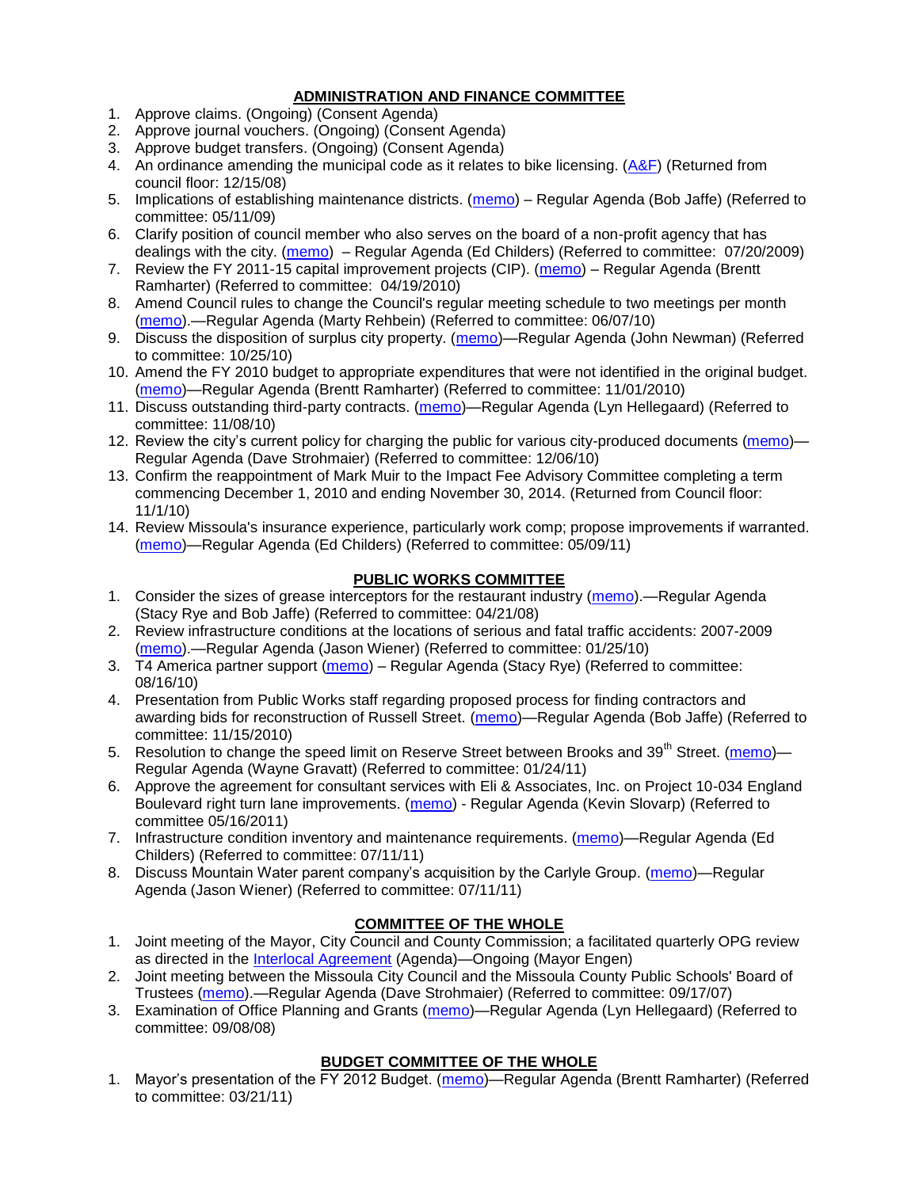# **ADMINISTRATION AND FINANCE COMMITTEE**

- 1. Approve claims. (Ongoing) (Consent Agenda)
- 2. Approve journal vouchers. (Ongoing) (Consent Agenda)
- 3. Approve budget transfers. (Ongoing) (Consent Agenda)
- 4. An ordinance amending the municipal code as it relates to bike licensing.  $(A\&F)$  (Returned from council floor: 12/15/08)
- 5. Implications of establishing maintenance districts. [\(memo\)](ftp://ftp.ci.missoula.mt.us/Packets/Council/2009/2009-05-11/Referrals/MaintenanceDistricts.pdf) Regular Agenda (Bob Jaffe) (Referred to committee: 05/11/09)
- 6. Clarify position of council member who also serves on the board of a non-profit agency that has dealings with the city. [\(memo\)](http://www.ci.missoula.mt.us/DocumentView.aspx?DID=1840) – Regular Agenda (Ed Childers) (Referred to committee: 07/20/2009)
- 7. Review the FY 2011-15 capital improvement projects (CIP). [\(memo\)](http://www.ci.missoula.mt.us/DocumentView.aspx?DID=3522) Regular Agenda (Brentt Ramharter) (Referred to committee: 04/19/2010)
- 8. Amend Council rules to change the Council's regular meeting schedule to two meetings per month [\(memo\)](http://www.ci.missoula.mt.us/DocumentView.aspx?DID=4027).—Regular Agenda (Marty Rehbein) (Referred to committee: 06/07/10)
- 9. Discuss the disposition of surplus city property. [\(memo\)](http://www.ci.missoula.mt.us/DocumentView.aspx?DID=4862)—Regular Agenda (John Newman) (Referred to committee: 10/25/10)
- 10. Amend the FY 2010 budget to appropriate expenditures that were not identified in the original budget. [\(memo\)](http://www.ci.missoula.mt.us/DocumentView.aspx?DID=4883)—Regular Agenda (Brentt Ramharter) (Referred to committee: 11/01/2010)
- 11. Discuss outstanding third-party contracts. [\(memo\)](http://www.ci.missoula.mt.us/DocumentView.aspx?DID=4956)—Regular Agenda (Lyn Hellegaard) (Referred to committee: 11/08/10)
- 12. Review the city's current policy for charging the public for various city-produced documents [\(memo\)](http://www.ci.missoula.mt.us/DocumentView.aspx?DID=5143) Regular Agenda (Dave Strohmaier) (Referred to committee: 12/06/10)
- 13. Confirm the reappointment of Mark Muir to the Impact Fee Advisory Committee completing a term commencing December 1, 2010 and ending November 30, 2014. (Returned from Council floor: 11/1/10)
- 14. Review Missoula's insurance experience, particularly work comp; propose improvements if warranted. [\(memo\)](http://www.ci.missoula.mt.us/DocumentView.aspx?DID=6381)—Regular Agenda (Ed Childers) (Referred to committee: 05/09/11)

# **PUBLIC WORKS COMMITTEE**

- 1. Consider the sizes of grease interceptors for the restaurant industry [\(memo\)](ftp://ftp.ci.missoula.mt.us/Packets/Council/2008/2008-04-21/Referrals/Industrial_waste_restaurants.pdf).—Regular Agenda (Stacy Rye and Bob Jaffe) (Referred to committee: 04/21/08)
- 2. Review infrastructure conditions at the locations of serious and fatal traffic accidents: 2007-2009 [\(memo\)](http://www.ci.missoula.mt.us/DocumentView.aspx?DID=3031).—Regular Agenda (Jason Wiener) (Referred to committee: 01/25/10)
- 3. T4 America partner support [\(memo\)](http://www.ci.missoula.mt.us/DocumentView.aspx?DID=4452) Regular Agenda (Stacy Rye) (Referred to committee: 08/16/10)
- 4. Presentation from Public Works staff regarding proposed process for finding contractors and awarding bids for reconstruction of Russell Street. [\(memo\)](http://www.ci.missoula.mt.us/DocumentView.aspx?DID=5042)—Regular Agenda (Bob Jaffe) (Referred to committee: 11/15/2010)
- 5. Resolution to change the speed limit on Reserve Street between Brooks and 39<sup>th</sup> Street. [\(memo\)](http://www.ci.missoula.mt.us/DocumentView.aspx?DID=5418) Regular Agenda (Wayne Gravatt) (Referred to committee: 01/24/11)
- 6. Approve the agreement for consultant services with Eli & Associates, Inc. on Project 10-034 England Boulevard right turn lane improvements. [\(memo\)](http://www.ci.missoula.mt.us/DocumentView.aspx?DID=6419) - Regular Agenda (Kevin Slovarp) (Referred to committee 05/16/2011)
- 7. Infrastructure condition inventory and maintenance requirements. [\(memo\)](http://www.ci.missoula.mt.us/DocumentView.aspx?DID=6751)—Regular Agenda (Ed Childers) (Referred to committee: 07/11/11)
- 8. Discuss Mountain Water parent company's acquisition by the Carlyle Group. [\(memo\)](http://www.ci.missoula.mt.us/DocumentView.aspx?DID=6777)—Regular Agenda (Jason Wiener) (Referred to committee: 07/11/11)

# **COMMITTEE OF THE WHOLE**

- 1. Joint meeting of the Mayor, City Council and County Commission; a facilitated quarterly OPG review as directed in the [Interlocal Agreement](ftp://ftp.ci.missoula.mt.us/Documents/Mayor/OPG/Adopted-ILA-2005.pdf) (Agenda)—Ongoing (Mayor Engen)
- 2. Joint meeting between the Missoula City Council and the Missoula County Public Schools' Board of Trustees [\(memo\)](ftp://ftp.ci.missoula.mt.us/Packets/Council/2007/2007-09-17/Referrals/Council_School_Board_referral.pdf).—Regular Agenda (Dave Strohmaier) (Referred to committee: 09/17/07)
- 3. Examination of Office Planning and Grants [\(memo\)](ftp://ftp.ci.missoula.mt.us/Packets/Council/2008/2008-09-08/Referrals/080825HendricksonOPGreferral.pdf)—Regular Agenda (Lyn Hellegaard) (Referred to committee: 09/08/08)

# **BUDGET COMMITTEE OF THE WHOLE**

1. Mayor's presentation of the FY 2012 Budget. [\(memo\)](http://www.ci.missoula.mt.us/DocumentView.aspx?DID=5788)—Regular Agenda (Brentt Ramharter) (Referred to committee: 03/21/11)